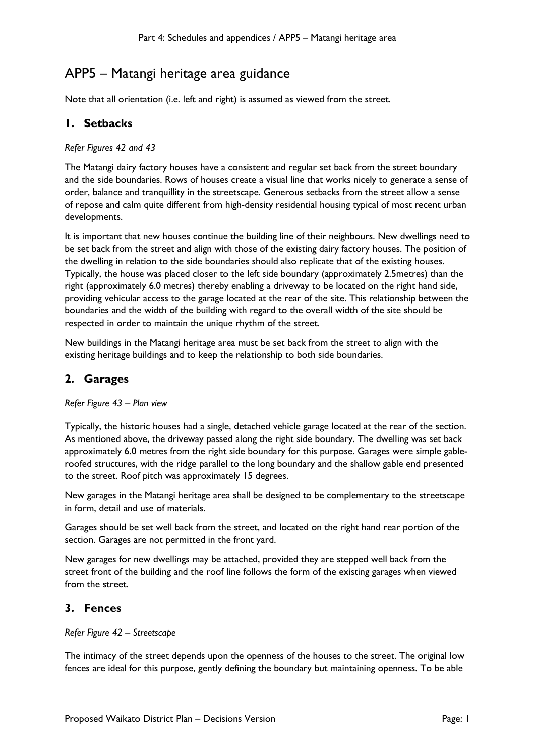# APP5 – Matangi heritage area guidance

Note that all orientation (i.e. left and right) is assumed as viewed from the street.

### **1. Setbacks**

#### *Refer Figures 42 and 43*

The Matangi dairy factory houses have a consistent and regular set back from the street boundary and the side boundaries. Rows of houses create a visual line that works nicely to generate a sense of order, balance and tranquillity in the streetscape. Generous setbacks from the street allow a sense of repose and calm quite different from high-density residential housing typical of most recent urban developments.

It is important that new houses continue the building line of their neighbours. New dwellings need to be set back from the street and align with those of the existing dairy factory houses. The position of the dwelling in relation to the side boundaries should also replicate that of the existing houses. Typically, the house was placed closer to the left side boundary (approximately 2.5metres) than the right (approximately 6.0 metres) thereby enabling a driveway to be located on the right hand side, providing vehicular access to the garage located at the rear of the site. This relationship between the boundaries and the width of the building with regard to the overall width of the site should be respected in order to maintain the unique rhythm of the street.

New buildings in the Matangi heritage area must be set back from the street to align with the existing heritage buildings and to keep the relationship to both side boundaries.

# **2. Garages**

#### *Refer Figure 43 – Plan view*

Typically, the historic houses had a single, detached vehicle garage located at the rear of the section. As mentioned above, the driveway passed along the right side boundary. The dwelling was set back approximately 6.0 metres from the right side boundary for this purpose. Garages were simple gableroofed structures, with the ridge parallel to the long boundary and the shallow gable end presented to the street. Roof pitch was approximately 15 degrees.

New garages in the Matangi heritage area shall be designed to be complementary to the streetscape in form, detail and use of materials.

Garages should be set well back from the street, and located on the right hand rear portion of the section. Garages are not permitted in the front yard.

New garages for new dwellings may be attached, provided they are stepped well back from the street front of the building and the roof line follows the form of the existing garages when viewed from the street.

# **3. Fences**

#### *Refer Figure 42 – Streetscape*

The intimacy of the street depends upon the openness of the houses to the street. The original low fences are ideal for this purpose, gently defining the boundary but maintaining openness. To be able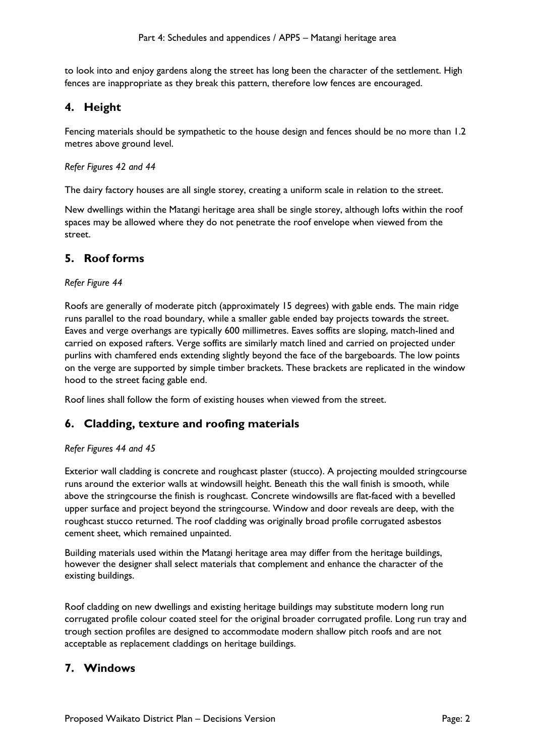to look into and enjoy gardens along the street has long been the character of the settlement. High fences are inappropriate as they break this pattern, therefore low fences are encouraged.

### **4. Height**

Fencing materials should be sympathetic to the house design and fences should be no more than 1.2 metres above ground level.

#### *Refer Figures 42 and 44*

The dairy factory houses are all single storey, creating a uniform scale in relation to the street.

New dwellings within the Matangi heritage area shall be single storey, although lofts within the roof spaces may be allowed where they do not penetrate the roof envelope when viewed from the street.

### **5. Roof forms**

#### *Refer Figure 44*

Roofs are generally of moderate pitch (approximately 15 degrees) with gable ends. The main ridge runs parallel to the road boundary, while a smaller gable ended bay projects towards the street. Eaves and verge overhangs are typically 600 millimetres. Eaves soffits are sloping, match-lined and carried on exposed rafters. Verge soffits are similarly match lined and carried on projected under purlins with chamfered ends extending slightly beyond the face of the bargeboards. The low points on the verge are supported by simple timber brackets. These brackets are replicated in the window hood to the street facing gable end.

Roof lines shall follow the form of existing houses when viewed from the street.

### **6. Cladding, texture and roofing materials**

#### *Refer Figures 44 and 45*

Exterior wall cladding is concrete and roughcast plaster (stucco). A projecting moulded stringcourse runs around the exterior walls at windowsill height. Beneath this the wall finish is smooth, while above the stringcourse the finish is roughcast. Concrete windowsills are flat-faced with a bevelled upper surface and project beyond the stringcourse. Window and door reveals are deep, with the roughcast stucco returned. The roof cladding was originally broad profile corrugated asbestos cement sheet, which remained unpainted.

Building materials used within the Matangi heritage area may differ from the heritage buildings, however the designer shall select materials that complement and enhance the character of the existing buildings.

Roof cladding on new dwellings and existing heritage buildings may substitute modern long run corrugated profile colour coated steel for the original broader corrugated profile. Long run tray and trough section profiles are designed to accommodate modern shallow pitch roofs and are not acceptable as replacement claddings on heritage buildings.

### **7. Windows**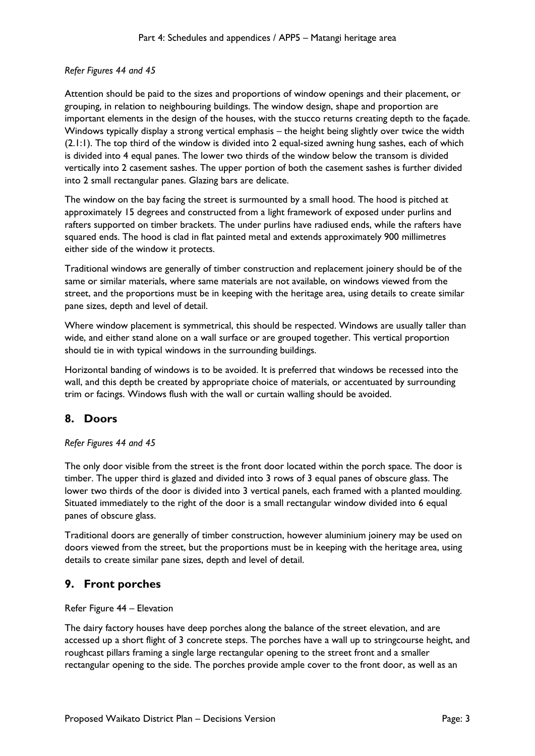#### *Refer Figures 44 and 45*

Attention should be paid to the sizes and proportions of window openings and their placement, or grouping, in relation to neighbouring buildings. The window design, shape and proportion are important elements in the design of the houses, with the stucco returns creating depth to the façade. Windows typically display a strong vertical emphasis – the height being slightly over twice the width (2.1:1). The top third of the window is divided into 2 equal-sized awning hung sashes, each of which is divided into 4 equal panes. The lower two thirds of the window below the transom is divided vertically into 2 casement sashes. The upper portion of both the casement sashes is further divided into 2 small rectangular panes. Glazing bars are delicate.

The window on the bay facing the street is surmounted by a small hood. The hood is pitched at approximately 15 degrees and constructed from a light framework of exposed under purlins and rafters supported on timber brackets. The under purlins have radiused ends, while the rafters have squared ends. The hood is clad in flat painted metal and extends approximately 900 millimetres either side of the window it protects.

Traditional windows are generally of timber construction and replacement joinery should be of the same or similar materials, where same materials are not available, on windows viewed from the street, and the proportions must be in keeping with the heritage area, using details to create similar pane sizes, depth and level of detail.

Where window placement is symmetrical, this should be respected. Windows are usually taller than wide, and either stand alone on a wall surface or are grouped together. This vertical proportion should tie in with typical windows in the surrounding buildings.

Horizontal banding of windows is to be avoided. It is preferred that windows be recessed into the wall, and this depth be created by appropriate choice of materials, or accentuated by surrounding trim or facings. Windows flush with the wall or curtain walling should be avoided.

# **8. Doors**

#### *Refer Figures 44 and 45*

The only door visible from the street is the front door located within the porch space. The door is timber. The upper third is glazed and divided into 3 rows of 3 equal panes of obscure glass. The lower two thirds of the door is divided into 3 vertical panels, each framed with a planted moulding. Situated immediately to the right of the door is a small rectangular window divided into 6 equal panes of obscure glass.

Traditional doors are generally of timber construction, however aluminium joinery may be used on doors viewed from the street, but the proportions must be in keeping with the heritage area, using details to create similar pane sizes, depth and level of detail.

### **9. Front porches**

#### Refer Figure 44 – Elevation

The dairy factory houses have deep porches along the balance of the street elevation, and are accessed up a short flight of 3 concrete steps. The porches have a wall up to stringcourse height, and roughcast pillars framing a single large rectangular opening to the street front and a smaller rectangular opening to the side. The porches provide ample cover to the front door, as well as an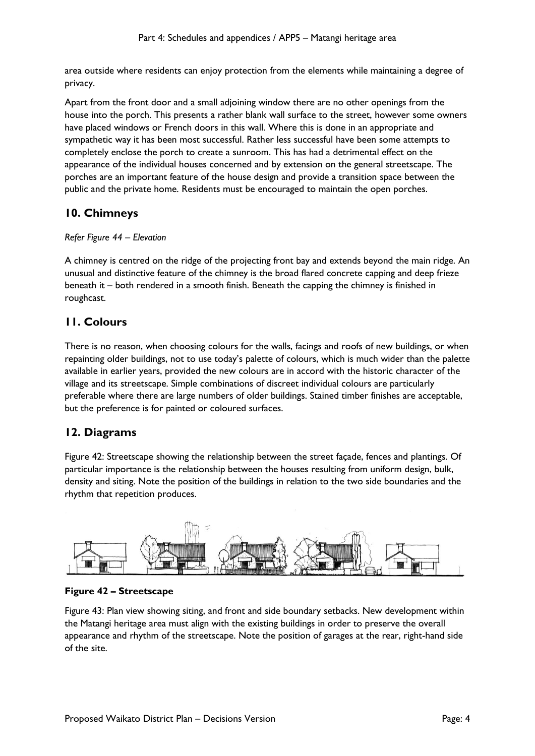area outside where residents can enjoy protection from the elements while maintaining a degree of privacy.

Apart from the front door and a small adjoining window there are no other openings from the house into the porch. This presents a rather blank wall surface to the street, however some owners have placed windows or French doors in this wall. Where this is done in an appropriate and sympathetic way it has been most successful. Rather less successful have been some attempts to completely enclose the porch to create a sunroom. This has had a detrimental effect on the appearance of the individual houses concerned and by extension on the general streetscape. The porches are an important feature of the house design and provide a transition space between the public and the private home. Residents must be encouraged to maintain the open porches.

# **10. Chimneys**

#### *Refer Figure 44 – Elevation*

A chimney is centred on the ridge of the projecting front bay and extends beyond the main ridge. An unusual and distinctive feature of the chimney is the broad flared concrete capping and deep frieze beneath it – both rendered in a smooth finish. Beneath the capping the chimney is finished in roughcast.

# **11. Colours**

There is no reason, when choosing colours for the walls, facings and roofs of new buildings, or when repainting older buildings, not to use today's palette of colours, which is much wider than the palette available in earlier years, provided the new colours are in accord with the historic character of the village and its streetscape. Simple combinations of discreet individual colours are particularly preferable where there are large numbers of older buildings. Stained timber finishes are acceptable, but the preference is for painted or coloured surfaces.

# **12. Diagrams**

Figure 42: Streetscape showing the relationship between the street façade, fences and plantings. Of particular importance is the relationship between the houses resulting from uniform design, bulk, density and siting. Note the position of the buildings in relation to the two side boundaries and the rhythm that repetition produces.



### **Figure 42 – Streetscape**

Figure 43: Plan view showing siting, and front and side boundary setbacks. New development within the Matangi heritage area must align with the existing buildings in order to preserve the overall appearance and rhythm of the streetscape. Note the position of garages at the rear, right-hand side of the site.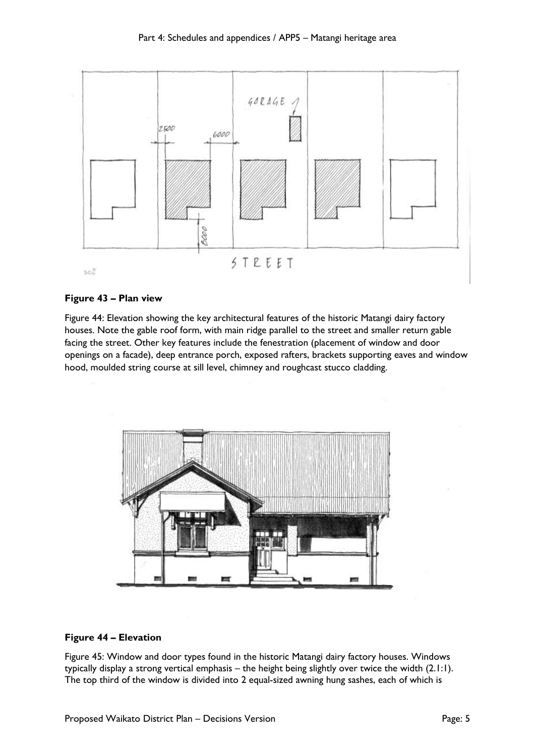

#### **Figure 43 – Plan view**

Figure 44: Elevation showing the key architectural features of the historic Matangi dairy factory houses. Note the gable roof form, with main ridge parallel to the street and smaller return gable facing the street. Other key features include the fenestration (placement of window and door openings on a facade), deep entrance porch, exposed rafters, brackets supporting eaves and window hood, moulded string course at sill level, chimney and roughcast stucco cladding.



#### **Figure 44 – Elevation**

Figure 45: Window and door types found in the historic Matangi dairy factory houses. Windows typically display a strong vertical emphasis – the height being slightly over twice the width (2.1:1). The top third of the window is divided into 2 equal-sized awning hung sashes, each of which is